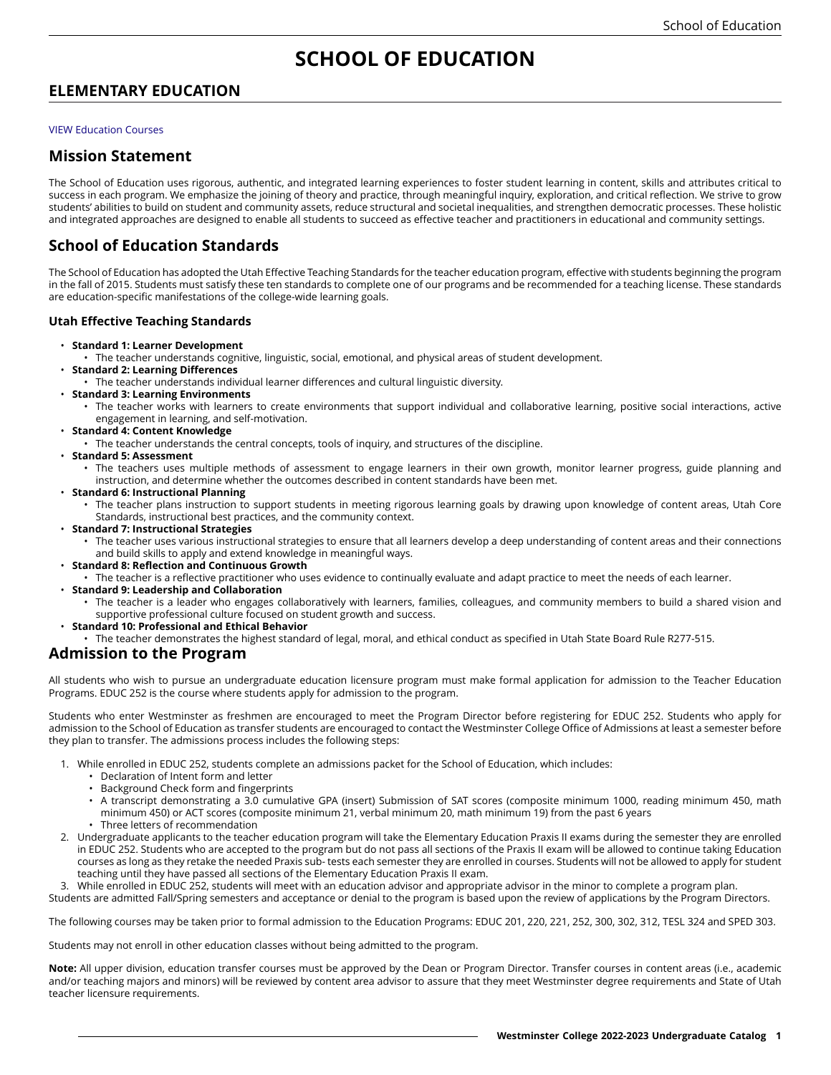# **SCHOOL OF EDUCATION**

## **ELEMENTARY EDUCATION**

#### [VIEW Education Courses](https://catalog.westminstercollege.edu/current/undergraduate/courses/educ.html)

### **Mission Statement**

The School of Education uses rigorous, authentic, and integrated learning experiences to foster student learning in content, skills and attributes critical to success in each program. We emphasize the joining of theory and practice, through meaningful inquiry, exploration, and critical reflection. We strive to grow students' abilities to build on student and community assets, reduce structural and societal inequalities, and strengthen democratic processes. These holistic and integrated approaches are designed to enable all students to succeed as effective teacher and practitioners in educational and community settings.

## **School of Education Standards**

The School of Education has adopted the Utah Effective Teaching Standards for the teacher education program, effective with students beginning the program in the fall of 2015. Students must satisfy these ten standards to complete one of our programs and be recommended for a teaching license. These standards are education-specific manifestations of the college-wide learning goals.

#### **Utah Effective Teaching Standards**

- **Standard 1: Learner Development**
	- The teacher understands cognitive, linguistic, social, emotional, and physical areas of student development.
- **Standard 2: Learning Differences**
	- The teacher understands individual learner differences and cultural linguistic diversity.
- **Standard 3: Learning Environments**
	- The teacher works with learners to create environments that support individual and collaborative learning, positive social interactions, active engagement in learning, and self-motivation.
- **Standard 4: Content Knowledge**
	- The teacher understands the central concepts, tools of inquiry, and structures of the discipline.
- **Standard 5: Assessment**
	- The teachers uses multiple methods of assessment to engage learners in their own growth, monitor learner progress, guide planning and instruction, and determine whether the outcomes described in content standards have been met.
- **Standard 6: Instructional Planning**
	- The teacher plans instruction to support students in meeting rigorous learning goals by drawing upon knowledge of content areas, Utah Core Standards, instructional best practices, and the community context.
- **Standard 7: Instructional Strategies**
	- The teacher uses various instructional strategies to ensure that all learners develop a deep understanding of content areas and their connections and build skills to apply and extend knowledge in meaningful ways.
- **Standard 8: Reflection and Continuous Growth**
	- The teacher is a reflective practitioner who uses evidence to continually evaluate and adapt practice to meet the needs of each learner.
- **Standard 9: Leadership and Collaboration**
	- The teacher is a leader who engages collaboratively with learners, families, colleagues, and community members to build a shared vision and supportive professional culture focused on student growth and success.
- **Standard 10: Professional and Ethical Behavior**
	- The teacher demonstrates the highest standard of legal, moral, and ethical conduct as specified in Utah State Board Rule R277-515.

## **Admission to the Program**

All students who wish to pursue an undergraduate education licensure program must make formal application for admission to the Teacher Education Programs. EDUC 252 is the course where students apply for admission to the program.

Students who enter Westminster as freshmen are encouraged to meet the Program Director before registering for EDUC 252. Students who apply for admission to the School of Education as transfer students are encouraged to contact the Westminster College Office of Admissions at least a semester before they plan to transfer. The admissions process includes the following steps:

- 1. While enrolled in EDUC 252, students complete an admissions packet for the School of Education, which includes:
	- Declaration of Intent form and letter
	- Background Check form and fingerprints
	- A transcript demonstrating a 3.0 cumulative GPA (insert) Submission of SAT scores (composite minimum 1000, reading minimum 450, math minimum 450) or ACT scores (composite minimum 21, verbal minimum 20, math minimum 19) from the past 6 years
	- Three letters of recommendation
- 2. Undergraduate applicants to the teacher education program will take the Elementary Education Praxis II exams during the semester they are enrolled in EDUC 252. Students who are accepted to the program but do not pass all sections of the Praxis II exam will be allowed to continue taking Education courses as long as they retake the needed Praxis sub- tests each semester they are enrolled in courses. Students will not be allowed to apply for student teaching until they have passed all sections of the Elementary Education Praxis II exam.

3. While enrolled in EDUC 252, students will meet with an education advisor and appropriate advisor in the minor to complete a program plan.

Students are admitted Fall/Spring semesters and acceptance or denial to the program is based upon the review of applications by the Program Directors.

The following courses may be taken prior to formal admission to the Education Programs: EDUC 201, 220, 221, 252, 300, 302, 312, TESL 324 and SPED 303.

Students may not enroll in other education classes without being admitted to the program.

**Note:** All upper division, education transfer courses must be approved by the Dean or Program Director. Transfer courses in content areas (i.e., academic and/or teaching majors and minors) will be reviewed by content area advisor to assure that they meet Westminster degree requirements and State of Utah teacher licensure requirements.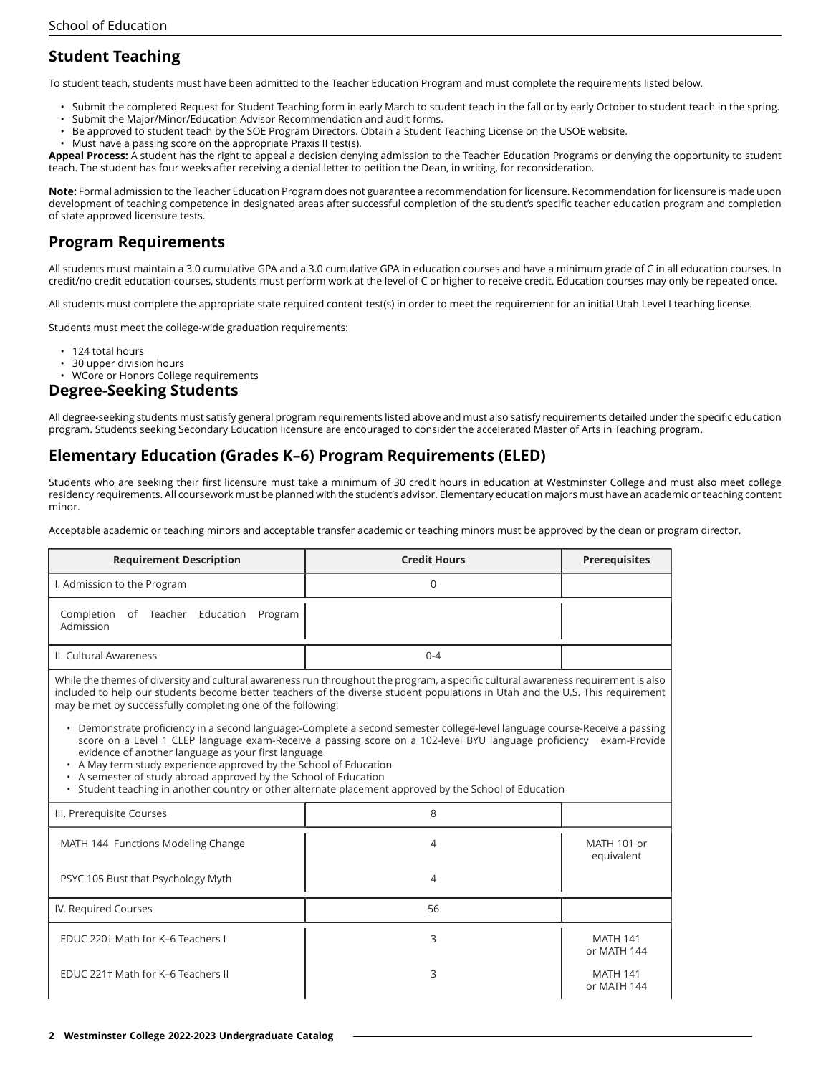## **Student Teaching**

To student teach, students must have been admitted to the Teacher Education Program and must complete the requirements listed below.

- Submit the completed Request for Student Teaching form in early March to student teach in the fall or by early October to student teach in the spring.
- Submit the Major/Minor/Education Advisor Recommendation and audit forms.
- Be approved to student teach by the SOE Program Directors. Obtain a Student Teaching License on the USOE website.
- Must have a passing score on the appropriate Praxis II test(s).

**Appeal Process:** A student has the right to appeal a decision denying admission to the Teacher Education Programs or denying the opportunity to student teach. The student has four weeks after receiving a denial letter to petition the Dean, in writing, for reconsideration.

**Note:** Formal admission to the Teacher Education Program does not guarantee a recommendation for licensure. Recommendation for licensure is made upon development of teaching competence in designated areas after successful completion of the student's specific teacher education program and completion of state approved licensure tests.

## **Program Requirements**

All students must maintain a 3.0 cumulative GPA and a 3.0 cumulative GPA in education courses and have a minimum grade of C in all education courses. In credit/no credit education courses, students must perform work at the level of C or higher to receive credit. Education courses may only be repeated once.

All students must complete the appropriate state required content test(s) in order to meet the requirement for an initial Utah Level I teaching license.

Students must meet the college-wide graduation requirements:

- 124 total hours
- 30 upper division hours
- WCore or Honors College requirements

### **Degree-Seeking Students**

All degree-seeking students must satisfy general program requirements listed above and must also satisfy requirements detailed under the specific education program. Students seeking Secondary Education licensure are encouraged to consider the accelerated Master of Arts in Teaching program.

## **Elementary Education (Grades K–6) Program Requirements (ELED)**

Students who are seeking their first licensure must take a minimum of 30 credit hours in education at Westminster College and must also meet college residency requirements. All coursework must be planned with the student's advisor. Elementary education majors must have an academic or teaching content minor.

Acceptable academic or teaching minors and acceptable transfer academic or teaching minors must be approved by the dean or program director.

| <b>Requirement Description</b>                                                                                                                                                                                                                                                                                                                                                                                                                                                                                                                                                                                                                                                                                                                                                                                                                                                                   | <b>Credit Hours</b> | <b>Prerequisites</b>           |  |  |
|--------------------------------------------------------------------------------------------------------------------------------------------------------------------------------------------------------------------------------------------------------------------------------------------------------------------------------------------------------------------------------------------------------------------------------------------------------------------------------------------------------------------------------------------------------------------------------------------------------------------------------------------------------------------------------------------------------------------------------------------------------------------------------------------------------------------------------------------------------------------------------------------------|---------------------|--------------------------------|--|--|
| I. Admission to the Program                                                                                                                                                                                                                                                                                                                                                                                                                                                                                                                                                                                                                                                                                                                                                                                                                                                                      | 0                   |                                |  |  |
| Completion<br>of Teacher Education<br>Program<br>Admission                                                                                                                                                                                                                                                                                                                                                                                                                                                                                                                                                                                                                                                                                                                                                                                                                                       |                     |                                |  |  |
| II. Cultural Awareness                                                                                                                                                                                                                                                                                                                                                                                                                                                                                                                                                                                                                                                                                                                                                                                                                                                                           | $0 - 4$             |                                |  |  |
| While the themes of diversity and cultural awareness run throughout the program, a specific cultural awareness requirement is also<br>included to help our students become better teachers of the diverse student populations in Utah and the U.S. This requirement<br>may be met by successfully completing one of the following:<br>• Demonstrate proficiency in a second language:-Complete a second semester college-level language course-Receive a passing<br>score on a Level 1 CLEP language exam-Receive a passing score on a 102-level BYU language proficiency exam-Provide<br>evidence of another language as your first language<br>• A May term study experience approved by the School of Education<br>• A semester of study abroad approved by the School of Education<br>• Student teaching in another country or other alternate placement approved by the School of Education |                     |                                |  |  |
| III. Prerequisite Courses                                                                                                                                                                                                                                                                                                                                                                                                                                                                                                                                                                                                                                                                                                                                                                                                                                                                        | 8                   |                                |  |  |
| MATH 144 Functions Modeling Change                                                                                                                                                                                                                                                                                                                                                                                                                                                                                                                                                                                                                                                                                                                                                                                                                                                               | $\overline{4}$      | MATH 101 or<br>equivalent      |  |  |
| PSYC 105 Bust that Psychology Myth                                                                                                                                                                                                                                                                                                                                                                                                                                                                                                                                                                                                                                                                                                                                                                                                                                                               | 4                   |                                |  |  |
| IV. Required Courses                                                                                                                                                                                                                                                                                                                                                                                                                                                                                                                                                                                                                                                                                                                                                                                                                                                                             | 56                  |                                |  |  |
| EDUC 220 <sup>t</sup> Math for K-6 Teachers I                                                                                                                                                                                                                                                                                                                                                                                                                                                                                                                                                                                                                                                                                                                                                                                                                                                    | 3                   | <b>MATH 141</b><br>or MATH 144 |  |  |
| EDUC 2211 Math for K-6 Teachers II                                                                                                                                                                                                                                                                                                                                                                                                                                                                                                                                                                                                                                                                                                                                                                                                                                                               | 3                   | <b>MATH 141</b><br>or MATH 144 |  |  |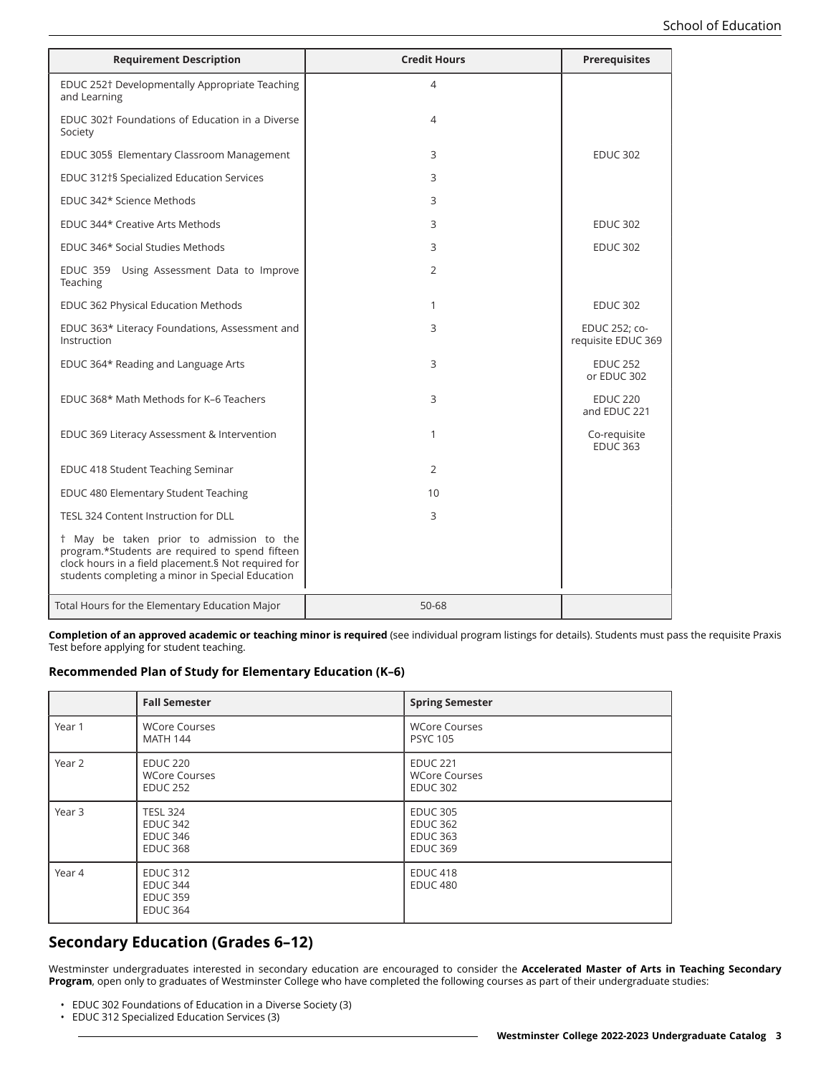| <b>Requirement Description</b>                                                                                                                                                                         | <b>Credit Hours</b> | <b>Prerequisites</b>                |
|--------------------------------------------------------------------------------------------------------------------------------------------------------------------------------------------------------|---------------------|-------------------------------------|
| EDUC 252† Developmentally Appropriate Teaching<br>and Learning                                                                                                                                         | 4                   |                                     |
| EDUC 302 <sup>†</sup> Foundations of Education in a Diverse<br>Society                                                                                                                                 | 4                   |                                     |
| EDUC 305§ Elementary Classroom Management                                                                                                                                                              | 3                   | <b>EDUC 302</b>                     |
| EDUC 312†§ Specialized Education Services                                                                                                                                                              | 3                   |                                     |
| EDUC 342* Science Methods                                                                                                                                                                              | 3                   |                                     |
| EDUC 344* Creative Arts Methods                                                                                                                                                                        | 3                   | <b>EDUC 302</b>                     |
| EDUC 346* Social Studies Methods                                                                                                                                                                       | 3                   | <b>EDUC 302</b>                     |
| EDUC 359 Using Assessment Data to Improve<br>Teaching                                                                                                                                                  | 2                   |                                     |
| EDUC 362 Physical Education Methods                                                                                                                                                                    | 1                   | <b>EDUC 302</b>                     |
| EDUC 363* Literacy Foundations, Assessment and<br>Instruction                                                                                                                                          | 3                   | EDUC 252; co-<br>requisite EDUC 369 |
| EDUC 364* Reading and Language Arts                                                                                                                                                                    | 3                   | <b>EDUC 252</b><br>or EDUC 302      |
| EDUC 368* Math Methods for K-6 Teachers                                                                                                                                                                | 3                   | <b>EDUC 220</b><br>and EDUC 221     |
| EDUC 369 Literacy Assessment & Intervention                                                                                                                                                            | 1                   | Co-requisite<br><b>EDUC 363</b>     |
| EDUC 418 Student Teaching Seminar                                                                                                                                                                      | $\overline{2}$      |                                     |
| EDUC 480 Elementary Student Teaching                                                                                                                                                                   | 10                  |                                     |
| TESL 324 Content Instruction for DLL                                                                                                                                                                   | 3                   |                                     |
| t May be taken prior to admission to the<br>program.*Students are required to spend fifteen<br>clock hours in a field placement.§ Not required for<br>students completing a minor in Special Education |                     |                                     |
| Total Hours for the Elementary Education Major                                                                                                                                                         | 50-68               |                                     |

**Completion of an approved academic or teaching minor is required** (see individual program listings for details). Students must pass the requisite Praxis Test before applying for student teaching.

### **Recommended Plan of Study for Elementary Education (K–6)**

|        | <b>Fall Semester</b>                                                     | <b>Spring Semester</b>                                                   |
|--------|--------------------------------------------------------------------------|--------------------------------------------------------------------------|
| Year 1 | <b>WCore Courses</b><br><b>MATH 144</b>                                  | <b>WCore Courses</b><br><b>PSYC 105</b>                                  |
| Year 2 | <b>EDUC 220</b><br><b>WCore Courses</b><br><b>EDUC 252</b>               | <b>EDUC 221</b><br><b>WCore Courses</b><br><b>EDUC 302</b>               |
| Year 3 | <b>TESL 324</b><br><b>EDUC 342</b><br><b>EDUC 346</b><br><b>EDUC 368</b> | <b>EDUC 305</b><br><b>EDUC 362</b><br><b>EDUC 363</b><br><b>EDUC 369</b> |
| Year 4 | <b>EDUC 312</b><br><b>EDUC 344</b><br><b>EDUC 359</b><br><b>EDUC 364</b> | <b>EDUC 418</b><br><b>EDUC 480</b>                                       |

## **Secondary Education (Grades 6–12)**

Westminster undergraduates interested in secondary education are encouraged to consider the **Accelerated Master of Arts in Teaching Secondary Program**, open only to graduates of Westminster College who have completed the following courses as part of their undergraduate studies:

- EDUC 302 Foundations of Education in a Diverse Society (3)
- EDUC 312 Specialized Education Services (3)